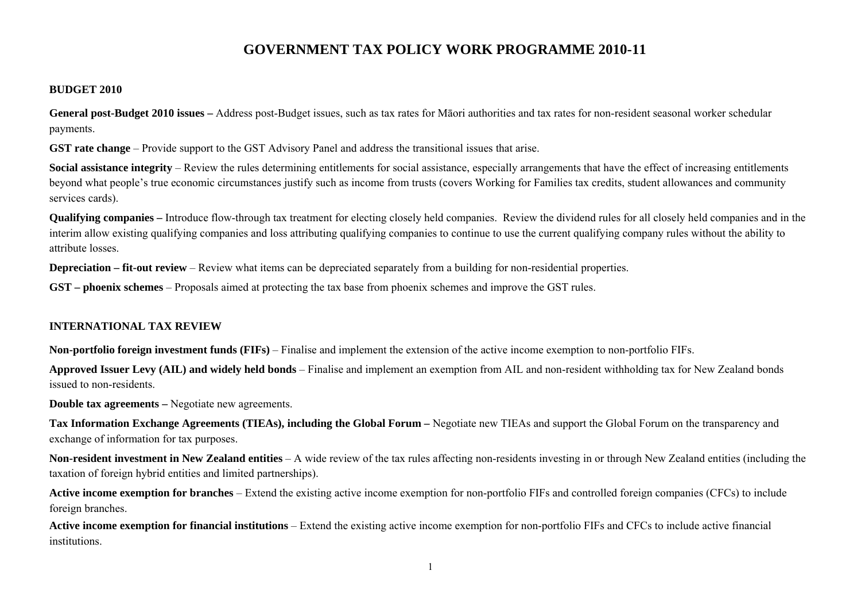# **GOVERNMENT TAX POLICY WORK PROGRAMME 2010-11**

#### **BUDGET 2010**

**General post-Budget 2010 issues –** Address post-Budget issues, such as tax rates for Māori authorities and tax rates for non-resident seasonal worker schedular payments.

**GST rate change** – Provide support to the GST Advisory Panel and address the transitional issues that arise.

**Social assistance integrity** – Review the rules determining entitlements for social assistance, especially arrangements that have the effect of increasing entitlements beyond what people's true economic circumstances justify such as income from trusts (covers Working for Families tax credits, student allowances and community services cards).

**Qualifying companies –** Introduce flow-through tax treatment for electing closely held companies. Review the dividend rules for all closely held companies and in the interim allow existing qualifying companies and loss attributing qualifying companies to continue to use the current qualifying company rules without the ability to attribute losses.

**Depreciation – fit-out review –** Review what items can be depreciated separately from a building for non-residential properties.

**GST – phoenix schemes** – Proposals aimed at protecting the tax base from phoenix schemes and improve the GST rules.

# **INTERNATIONAL TAX REVIEW**

**Non-portfolio foreign investment funds (FIFs)** – Finalise and implement the extension of the active income exemption to non-portfolio FIFs.

**Approved Issuer Levy (AIL) and widely held bonds** – Finalise and implement an exemption from AIL and non-resident withholding tax for New Zealand bonds issued to non-residents.

**Double tax agreements –** Negotiate new agreements.

**Tax Information Exchange Agreements (TIEAs), including the Global Forum –** Negotiate new TIEAs and support the Global Forum on the transparency and exchange of information for tax purposes.

**Non-resident investment in New Zealand entities** – A wide review of the tax rules affecting non-residents investing in or through New Zealand entities (including the taxation of foreign hybrid entities and limited partnerships).

**Active income exemption for branches** – Extend the existing active income exemption for non-portfolio FIFs and controlled foreign companies (CFCs) to include foreign branches.

Active income exemption for financial institutions – Extend the existing active income exemption for non-portfolio FIFs and CFCs to include active financial institutions.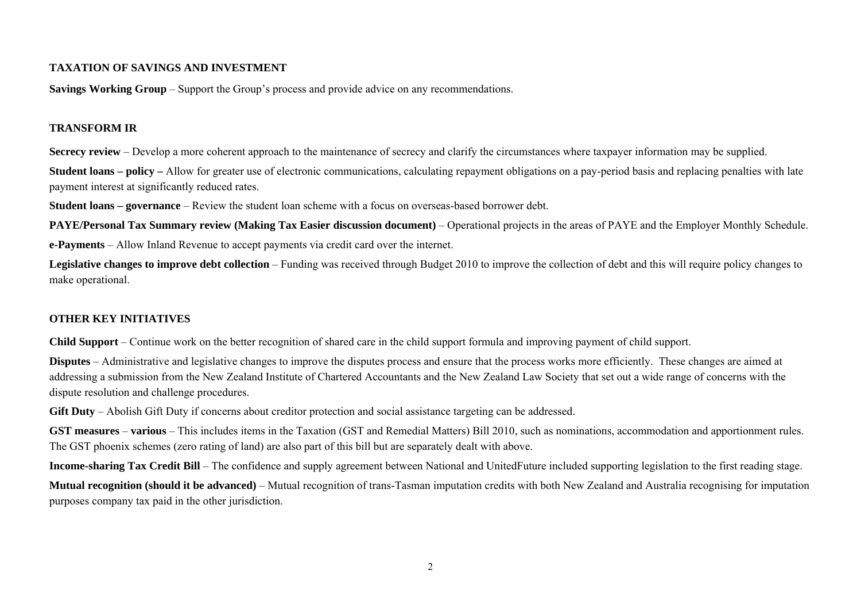## **TAXATION OF SAVINGS AND INVESTMENT**

**Savings Working Group** – Support the Group's process and provide advice on any recommendations.

## **TRANSFORM IR**

**Secrecy review** – Develop a more coherent approach to the maintenance of secrecy and clarify the circumstances where taxpayer information may be supplied.

**Student loans – policy –** Allow for greater use of electronic communications, calculating repayment obligations on a pay-period basis and replacing penalties with late payment interest at significantly reduced rates.

**Student loans – governance** – Review the student loan scheme with a focus on overseas-based borrower debt.

PAYE/Personal Tax Summary review (Making Tax Easier discussion document) – Operational projects in the areas of PAYE and the Employer Monthly Schedule. **e-Payments** – Allow Inland Revenue to accept payments via credit card over the internet.

Legislative changes to improve debt collection – Funding was received through Budget 2010 to improve the collection of debt and this will require policy changes to make operational.

# **OTHER KEY INITIATIVES**

**Child Support** – Continue work on the better recognition of shared care in the child support formula and improving payment of child support.

**Disputes** – Administrative and legislative changes to improve the disputes process and ensure that the process works more efficiently. These changes are aimed at addressing a submission from the New Zealand Institute of Chartered Accountants and the New Zealand Law Society that set out a wide range of concerns with the dispute resolution and challenge procedures.

**Gift Duty** – Abolish Gift Duty if concerns about creditor protection and social assistance targeting can be addressed.

**GST measures – various** – This includes items in the Taxation (GST and Remedial Matters) Bill 2010, such as nominations, accommodation and apportionment rules. The GST phoenix schemes (zero rating of land) are also part of this bill but are separately dealt with above.

**Income-sharing Tax Credit Bill** – The confidence and supply agreement between National and UnitedFuture included supporting legislation to the first reading stage.

**Mutual recognition (should it be advanced)** – Mutual recognition of trans-Tasman imputation credits with both New Zealand and Australia recognising for imputation purposes company tax paid in the other jurisdiction.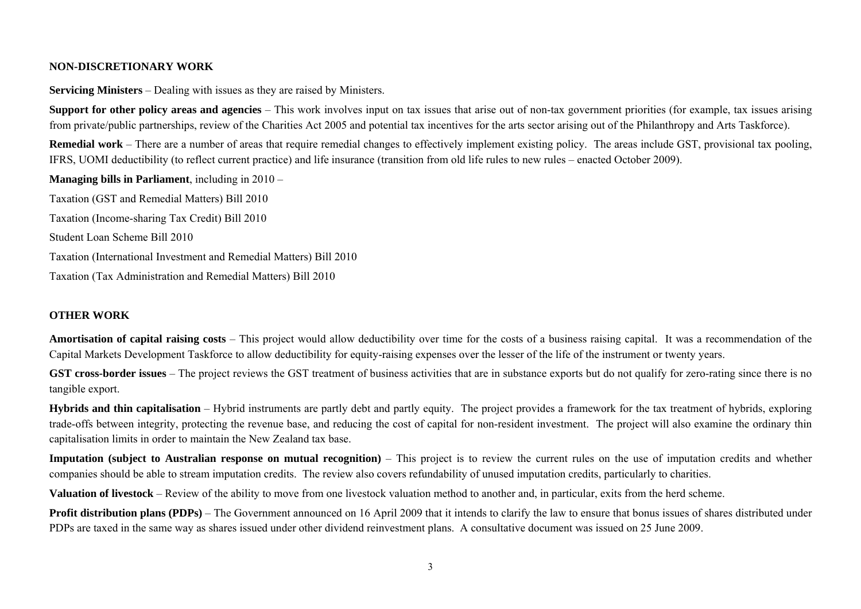#### **NON-DISCRETIONARY WORK**

**Servicing Ministers** – Dealing with issues as they are raised by Ministers.

**Support for other policy areas and agencies** – This work involves input on tax issues that arise out of non-tax government priorities (for example, tax issues arising from private/public partnerships, review of the Charities Act 2005 and potential tax incentives for the arts sector arising out of the Philanthropy and Arts Taskforce).

**Remedial work** – There are a number of areas that require remedial changes to effectively implement existing policy. The areas include GST, provisional tax pooling, IFRS, UOMI deductibility (to reflect current practice) and life insurance (transition from old life rules to new rules – enacted October 2009).

**Managing bills in Parliament**, including in 2010 –

Taxation (GST and Remedial Matters) Bill 2010 Taxation (Income-sharing Tax Credit) Bill 2010 Student Loan Scheme Bill 2010 Taxation (International Investment and Remedial Matters) Bill 2010 Taxation (Tax Administration and Remedial Matters) Bill 2010

# **OTHER WORK**

**Amortisation of capital raising costs** – This project would allow deductibility over time for the costs of a business raising capital. It was a recommendation of the Capital Markets Development Taskforce to allow deductibility for equity-raising expenses over the lesser of the life of the instrument or twenty years.

**GST cross-border issues** – The project reviews the GST treatment of business activities that are in substance exports but do not qualify for zero-rating since there is no tangible export.

**Hybrids and thin capitalisation** – Hybrid instruments are partly debt and partly equity. The project provides a framework for the tax treatment of hybrids, exploring trade-offs between integrity, protecting the revenue base, and reducing the cost of capital for non-resident investment. The project will also examine the ordinary thin capitalisation limits in order to maintain the New Zealand tax base.

**Imputation (subject to Australian response on mutual recognition)** – This project is to review the current rules on the use of imputation credits and whether companies should be able to stream imputation credits. The review also covers refundability of unused imputation credits, particularly to charities.

**Valuation of livestock** – Review of the ability to move from one livestock valuation method to another and, in particular, exits from the herd scheme.

**Profit distribution plans (PDPs)** – The Government announced on 16 April 2009 that it intends to clarify the law to ensure that bonus issues of shares distributed under PDPs are taxed in the same way as shares issued under other dividend reinvestment plans. A consultative document was issued on 25 June 2009.